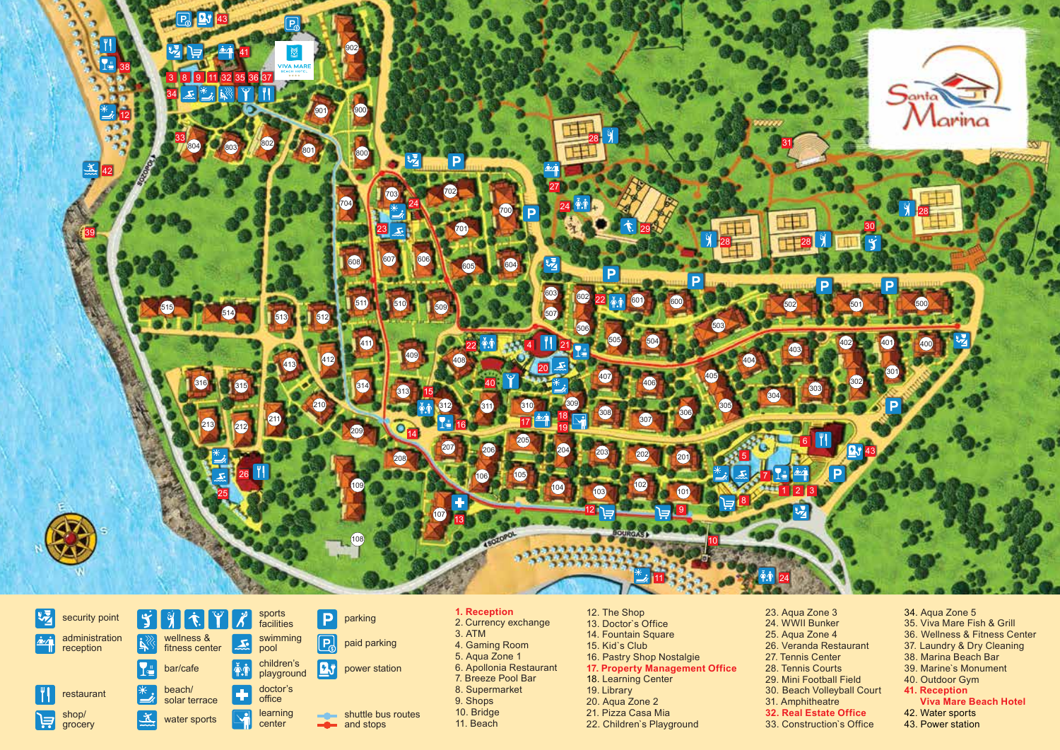



#### **1. Reception** 2. Currency exchange 3. ATM 4. Gaming Room 5. Aqua Zone 1 6. Apollonia Restaurant 7. Breeze Pool Bar 8. Supermarket 9. Shops 10. Bridge 11. Beach

12. The Shop 13. Doctor`s Office 14. Fountain Square 15. Kid`s Club 16. Pastry Shop Nostalgie **17. Property Management Office** 18. Learning Center 19. Library 20. Aqua Zone 2 21. Pizza Casa Mia 22. Children`s Playground

23. Aqua Zone 3 24. WWII Bunker 25. Aqua Zone 4 26. Veranda Restaurant 27. Tennis Center 28. Tennis Courts 29. Mini Football Field 30. Beach Volleyball Court 31. Amphitheatre **32. Real Estate Office**  33. Construction`s Office

34. Aqua Zone 5 35. Viva Mare Fish & Grill 36. Wellness & Fitness Center 37. Laundry & Dry Cleaning 38. Marina Beach Bar 39. Marine`s Monument 40. Outdoor Gym **41. Reception Viva Mare Beach Hotel**  42. Water sports 43. Power station